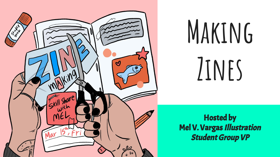

# **Making Zines**

Hosted by Mel V. Vargas Illustration Student Group VP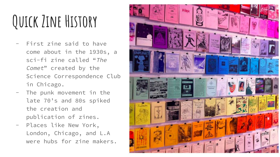## **Quick Zine History**

- First zine said to have come about in the 1930s, a sci-fi zine called "The Comet" created by the Science Correspondence Club in Chicago.
- The punk movement in the late 70's and 80s spiked the creation and publication of zines.
- Places like New York, London, Chicago, and L.A were hubs for zine makers.

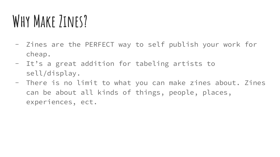### WHY MAKE *JINES?*

- Zines are the PERFECT way to self publish your work for cheap.
- It's a great addition for tabeling artists to sell/display.
- There is no limit to what you can make zines about. Zines can be about all kinds of things, people, places, experiences, ect.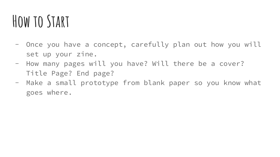#### **How to Start**

- Once you have a concept, carefully plan out how you will set up your zine.
- How many pages will you have? Will there be a cover? Title Page? End page?
- Make a small prototype from blank paper so you know what goes where.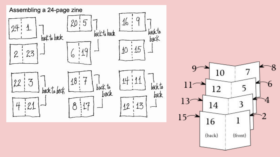

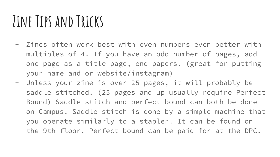#### **Zine Tips and Tricks**

- Zines often work best with even numbers even better with multiples of 4. If you have an odd number of pages, add one page as a title page, end papers. (great for putting your name and or website/instagram)
- Unless your zine is over 25 pages, it will probably be saddle stitched. (25 pages and up usually require Perfect Bound) Saddle stitch and perfect bound can both be done on Campus. Saddle stitch is done by a simple machine that you operate similarly to a stapler. It can be found on the 9th floor. Perfect bound can be paid for at the DPC.